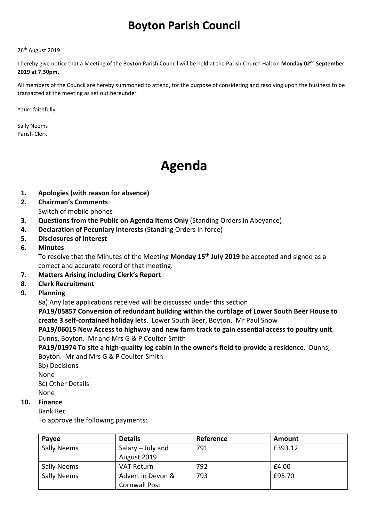# Boyton Parish Council

#### 26<sup>th</sup> August 2019

I hereby give notice that a Meeting of the Boyton Parish Council will be held at the Parish Church Hall on Monday 02<sup>nd</sup> September 2019 at 7.30pm.

All members of the Council are hereby summoned to attend, for the purpose of considering and resolving upon the business to be transacted at the meeting as set out hereunder

Yours faithfully

Sally Neems Parish Clerk

# Agenda

- 1. Apologies (with reason for absence)
- 2. Chairman's Comments Switch of mobile phones
- 3. Questions from the Public on Agenda Items Only (Standing Orders in Abeyance)
- 4. Declaration of Pecuniary Interests (Standing Orders in force)
- 5. Disclosures of Interest
- 6. Minutes

To resolve that the Minutes of the Meeting Monday 15<sup>th</sup> July 2019 be accepted and signed as a correct and accurate record of that meeting.

- 7. Matters Arising including Clerk's Report
- 8. Clerk Recruitment
- 9. Planning

8a) Any late applications received will be discussed under this section

PA19/05857 Conversion of redundant building within the curtilage of Lower South Beer House to create 3 self-contained holiday lets. Lower South Beer, Boyton. Mr Paul Snow

PA19/06015 New Access to highway and new farm track to gain essential access to poultry unit. Dunns, Boyton. Mr and Mrs G & P Coulter-Smith

PA19/01974 To site a high-quality log cabin in the owner's field to provide a residence. Dunns, Boyton. Mr and Mrs G & P Coulter-Smith

8b) Decisions None 8c) Other Details None

#### 10. Finance

Bank Rec

To approve the following payments:

| Payee              | <b>Details</b>       | Reference | Amount  |
|--------------------|----------------------|-----------|---------|
| <b>Sally Neems</b> | Salary – July and    | 791       | £393.12 |
|                    | August 2019          |           |         |
| <b>Sally Neems</b> | VAT Return           | 792       | £4.00   |
| <b>Sally Neems</b> | Advert in Devon &    | 793       | £95.70  |
|                    | <b>Cornwall Post</b> |           |         |